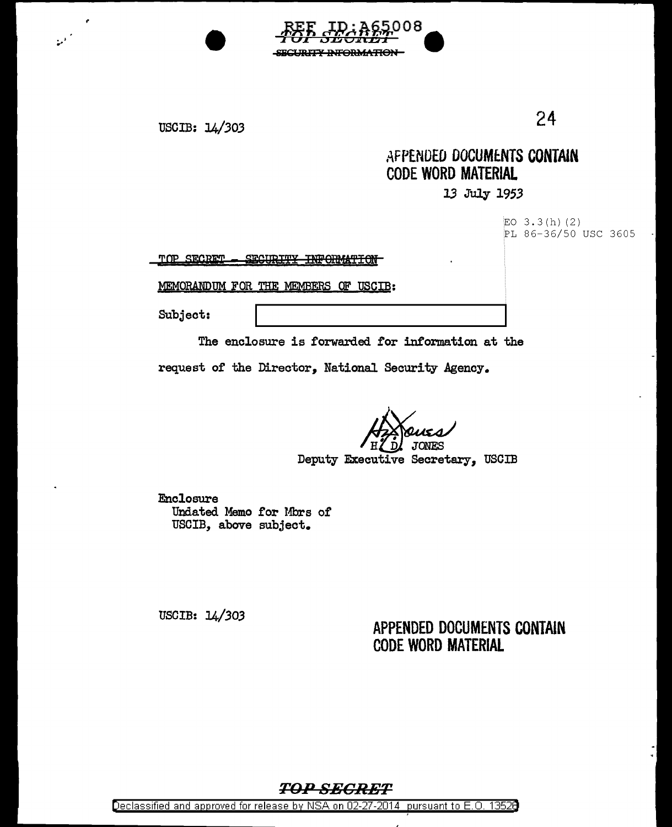



•I ...

## AFPENDED DOCUMENTS CONTAIN CODE WORD MATERIAL

## 13 July 1953

 $EO$  3.3(h)(2) PL 86-36/50 USC 3605

TOP SECRET - SECURITY INFORMATION

MEMORANDUM FOR THE MEMBERS OF USCIB:

Subject:

The enclosure is forwarded for information at the

request of the Director, National Security Agency.

80

**ARAATAN** 

*h*<br>
H *b* JONES<br>
Deputy Executive Secretary, USCIB

Enclosure Undated Memo for Mbrs of USCIB, above subject.

USCIB: *14/303* 

APPENDED DOCUMENTS CONTAIN CODE WORD MATERIAL

## TOP SECRET

Declassified and approved for release by NSA on 02-27-2014 pursuant to E.O. 1352B